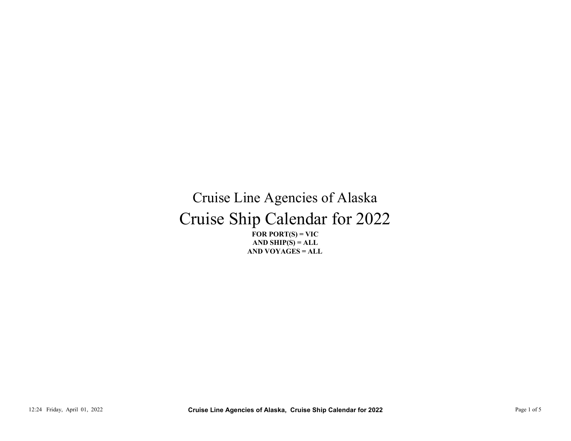## Cruise Ship Calendar for 2022 Cruise Line Agencies of Alaska CT LITES STIP CONTRACTED TO LOCAL TRANSPORTED TO THE SUBMIT CONTRACTED TO THE CALL AND YOU AGES = ALL.<br>
AND YOU AGES = ALL.<br>
AND YOU AGES = ALL.<br>
AND YOU AGES = ALL.<br>
Cruise Line Agencies of Alaska, Cruise Ship Calendar f

FOR PORT $(S)$  = VIC AND VOYAGES = ALL AND SHIP $(S) = ALL$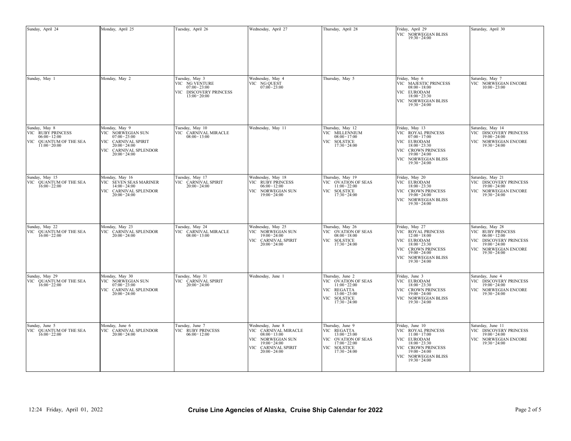| Sunday, April 24                                                                                  | Monday, April 25                                                                                                                            | Tuesday, April 26                                                                        | Wednesday, April 27                                                                                                                            | Thursday, April 28                                                                                                            | Friday, April 29<br>VIC NORWEGIAN BLISS<br>$19:30 - 24:00$                                                                                                                   | Saturday, April 30                                                                                                                               |
|---------------------------------------------------------------------------------------------------|---------------------------------------------------------------------------------------------------------------------------------------------|------------------------------------------------------------------------------------------|------------------------------------------------------------------------------------------------------------------------------------------------|-------------------------------------------------------------------------------------------------------------------------------|------------------------------------------------------------------------------------------------------------------------------------------------------------------------------|--------------------------------------------------------------------------------------------------------------------------------------------------|
| Sunday, May 1                                                                                     | Monday, May 2                                                                                                                               | Tuesday, May 3<br>VIC NG VENTURE 07:00 - 23:00<br>VIC DISCOVERY PRINCESS $13:00 - 20:00$ | Wednesday, May 4<br>VIC NG QUEST<br>07:00 - 23:00                                                                                              | Thursday, May 5                                                                                                               | Friday, May 6<br>VIC MAJESTIC PRINCESS<br>$08:00 - 18:00$<br>VIC EURODAM<br>$18:00 - 23:30$<br>VIC NORWEGIAN BLISS<br>$19:30 - 24:00$                                        | Saturday, May 7<br>VIC NORWEGIAN ENCORE $10:00 - 23:00$                                                                                          |
| Sunday, May 8<br>VIC RUBY PRINCESS<br>$06:00 - 12:00$<br>VIC QUANTUM OF THE SEA $11:00$ - $20:00$ | Monday, May 9<br>VIC NORWEGIAN SUN<br>$07:00 - 23:00$<br>VIC CARNIVAL SPIRIT<br>$20:00 - 24:00$<br>VIC CARNIVAL SPLENDOR<br>$20:00 - 24:00$ | Tuesday, May 10<br>VIC CARNIVAL MIRACLE<br>$08:00 - 13:00$                               | Wednesday, May 11                                                                                                                              | Thursday, May 12<br>VIC MILLENNIUM<br>$08:00 - 17:00$<br>VIC SOLSTICE<br>17:30 - 24:00                                        | Friday, May 13<br>VIC ROYAL PRINCESS $07:00 - 17:00$<br>VIC EURODAM<br>$18:00 - 23:30$<br>VIC CROWN PRINCESS<br>$19:00 - 24:00$<br>VIC NORWEGIAN BLISS $19:30 - 24:00$       | Saturday, May 14<br>VIC DISCOVERY PRINCESS<br>$19:00 - 24:00$<br>VIC NORWEGIAN ENCORE 19:30 - 24:00                                              |
| Sunday, May 15<br>VIC QUANTUM OF THE SEA $16:00 - 22:00$                                          | Monday, May 16<br>VIC SEVEN SEAS MARINER<br>$14:00 - 24:00$<br>VIC CARNIVAL SPLENDOR<br>$20:00 - 24:00$                                     | Tuesday, May 17<br>VIC CARNIVAL SPIRIT<br>$20:00 - 24:00$                                | Wednesday, May 18<br>VIC RUBY PRINCESS<br>$06:00 - 12:00$<br>VIC NORWEGIAN SUN<br>$19:00 - 24:00$                                              | Thursday, May 19<br>VIC OVATION OF SEAS $11:00 - 22:00$<br>VIC SOLSTICE 17:30 - 24:00                                         | Friday, May 20<br>VIC EURODAM<br>$18:00 - 23:30$<br>VIC CROWN PRINCESS<br>$19:00 - 24:00$<br>VIC NORWEGIAN BLISS<br>$19:30 - 24:00$                                          | Saturday, May 21<br>VIC DISCOVERY PRINCESS<br>$19:00 - 24:00$<br>VIC NORWEGIAN ENCORE<br>$19:30 - 24:00$                                         |
| Sunday, May 22<br>VIC QUANTUM OF THE SEA<br>$16:00 - 22:00$                                       | Monday, May 23<br>VIC CARNIVAL SPLENDOR<br>$20:00 - 24:00$                                                                                  | Tuesday, May 24<br>VIC CARNIVAL MIRACLE<br>$08:00 - 13:00$                               | Wednesday, May 25<br>VIC NORWEGIAN SUN<br>$19:00 - 24:00$<br>VIC CARNIVAL SPIRIT<br>$20:00 - 24:00$                                            | Thursday, May 26<br>VIC OVATION OF SEAS<br>$08:00 - 18:00$<br>VIC SOLSTICE<br>17:30 - 24:00                                   | Friday, May 27<br>VIC ROYAL PRINCESS<br>$12:00 - 18:00$<br>VIC EURODAM<br>$18:00 - 23:30$<br>VIC CROWN PRINCESS<br>$19:00 - 24:00$<br>VIC NORWEGIAN BLISS<br>$19:30 - 24:00$ | Saturday, May 28<br>VIC RUBY PRINCESS<br>$06:00 - 12:00$<br>VIC DISCOVERY PRINCESS<br>$19:00 - 24:00$<br>VIC NORWEGIAN ENCORE<br>$19:30 - 24:00$ |
| Sunday, May 29<br>VIC QUANTUM OF THE SEA<br>$16:00 - 22:00$                                       | Monday, May 30<br>VIC NORWEGIAN SUN<br>$07:00 - 23:00$<br>VIC CARNIVAL SPLENDOR<br>$20:00 - 24:00$                                          | Tuesday, May 31<br>VIC CARNIVAL SPIRIT<br>$20:00 - 24:00$                                | Wednesday, June 1                                                                                                                              | Thursday, June 2<br>VIC OVATION OF SEAS<br>$11:00 - 22:00$<br>VIC REGATTA<br>13:00 - 23:00<br>VIC SOLSTICE<br>$17:30 - 24:00$ | Friday, June 3<br>VIC EURODAM<br>$18:00 - 23:30$<br>VIC CROWN PRINCESS<br>$19:00 - 24:00$<br>VIC NORWEGIAN BLISS<br>$19:30 - 24:00$                                          | Saturday, June 4<br>VIC DISCOVERY PRINCESS<br>$19:00 - 24:00$<br>VIC NORWEGIAN ENCORE<br>$19:30 - 24:00$                                         |
| Sunday, June 5<br>VIC QUANTUM OF THE SEA $16:00 - 22:00$                                          | Monday, June 6<br>VIC CARNIVAL SPLENDOR<br>$20:00 - 24:00$                                                                                  | Tuesday, June 7<br>VIC RUBY PRINCESS<br>$06:00 - 12:00$                                  | Wednesday, June 8<br>VIC CARNIVAL MIRACLE<br>$08:00 - 13:00$<br>VIC NORWEGIAN SUN<br>$19:00 - 24:00$<br>VIC CARNIVAL SPIRIT<br>$20:00 - 24:00$ | Thursday, June 9<br>VIC REGATTA $13:00 - 23:00$<br>VIC OVATION OF SEAS<br>$17:00 - 22:00$<br>VIC SOLSTICE<br>17:30 - 24:00    | Friday, June 10<br>VIC ROYAL PRINCESS<br>$11:00 - 17:00$<br>VIC EURODAM<br>$18:00 - 23:30$<br>VIC CROWN PRINCESS<br>19:00 - 24:00<br>VIC NORWEGIAN BLISS<br>19:30 - 24:00    | Saturday, June 11<br>VIC DISCOVERY PRINCESS<br>$19:00 - 24:00$<br>VIC NORWEGIAN ENCORE<br>$19:30 - 24:00$                                        |
| 12:24 Friday, April 01, 2022                                                                      |                                                                                                                                             |                                                                                          | Cruise Line Agencies of Alaska, Cruise Ship Calendar for 2022                                                                                  |                                                                                                                               |                                                                                                                                                                              | Page 2 of 5                                                                                                                                      |
|                                                                                                   |                                                                                                                                             |                                                                                          |                                                                                                                                                |                                                                                                                               |                                                                                                                                                                              |                                                                                                                                                  |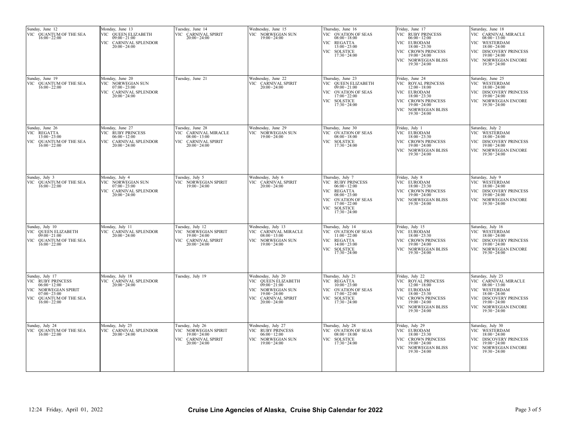| Sunday, June 12<br>VIC QUANTUM OF THE SEA<br>$16:00 - 22:00$                                                                                       | Monday, June 13<br>VIC QUEEN ELIZABETH<br>$09:00 - 21:00$<br>VIC CARNIVAL SPLENDOR<br>$20:00 - 24:00$ | Tuesday, June 14<br>VIC CARNIVAL SPIRIT<br>$20:00 - 24:00$                                            | Wednesday, June 15<br>VIC NORWEGIAN SUN<br>$19:00 - 24:00$                                                                                     | Thursday, June 16<br>VIC OVATION OF SEAS<br>$08:00 - 18:00$<br>VIC REGATTA<br>$13:00 - 23:00$<br>VIC SOLSTICE<br>$17:30 - 24:00$                                        | Friday, June 17<br>VIC RUBY PRINCESS<br>$06:00 - 12:00$<br>VIC EURODAM<br>$18:00 - 23:30$<br>VIC CROWN PRINCESS<br>$19:00 - 24:00$<br>VIC NORWEGIAN BLISS<br>$19:30 - 24:00$  | Saturday, June 18<br>VIC CARNIVAL MIRACLE<br>$08:00 - 13:00$<br>VIC WESTERDAM<br>$18:00 - 24:00$<br>VIC DISCOVERY PRINCESS<br>$19:00 - 24:00$<br>VIC NORWEGIAN ENCORE<br>$19:30 - 24:00$ |
|----------------------------------------------------------------------------------------------------------------------------------------------------|-------------------------------------------------------------------------------------------------------|-------------------------------------------------------------------------------------------------------|------------------------------------------------------------------------------------------------------------------------------------------------|-------------------------------------------------------------------------------------------------------------------------------------------------------------------------|-------------------------------------------------------------------------------------------------------------------------------------------------------------------------------|------------------------------------------------------------------------------------------------------------------------------------------------------------------------------------------|
| Sunday, June 19<br>VIC QUANTUM OF THE SEA<br>$16:00 - 22:00$                                                                                       | Monday, June 20<br>VIC NORWEGIAN SUN<br>$07:00 - 23:00$<br>VIC CARNIVAL SPLENDOR<br>$20:00 - 24:00$   | Tuesday, June 21                                                                                      | Wednesday, June 22<br>VIC CARNIVAL SPIRIT<br>$20:00 - 24:00$                                                                                   | Thursday, June 23<br>VIC QUEEN ELIZABETH<br>$09:00 - 21:00$<br>VIC OVATION OF SEAS<br>$17:00 - 22:00$<br>VIC SOLSTICE<br>$17:30 - 24:00$                                | Friday, June 24<br>VIC ROYAL PRINCESS<br>$12:00 - 18:00$<br>VIC EURODAM<br>$18:00 - 23:30$<br>VIC CROWN PRINCESS<br>$19:00 - 24:00$<br>VIC NORWEGIAN BLISS<br>$19:30 - 24:00$ | Saturday, June 25<br>VIC WESTERDAM<br>$18:00 - 24:00$<br>VIC DISCOVERY PRINCESS<br>$19:00 - 24:00$<br>VIC NORWEGIAN ENCORE<br>$19:30 - 24:00$                                            |
| Sunday, June 26<br>VIC REGATTA<br>$13:00 - 23:00$<br>VIC QUANTUM OF THE SEA<br>$16:00 - 22:00$                                                     | Monday, June 27<br>VIC RUBY PRINCESS<br>$06:00 - 12:00$<br>VIC CARNIVAL SPLENDOR<br>$20:00 - 24:00$   | Tuesday, June 28<br>VIC CARNIVAL MIRACLE<br>$08:00 - 13:00$<br>VIC CARNIVAL SPIRIT<br>$20:00 - 24:00$ | Wednesday, June 29<br>VIC NORWEGIAN SUN<br>$19:00 - 24:00$                                                                                     | Thursday, June 30<br>VIC OVATION OF SEAS<br>$08:00 - 18:00$<br>VIC SOLSTICE<br>$17:30 - 24:00$                                                                          | Friday, July 1<br>VIC EURODAM<br>$18:00 - 23:30$<br>VIC CROWN PRINCESS<br>19:00 - 24:00<br>VIC NORWEGIAN BLISS<br>$19:30 - 24:00$                                             | Saturday, July 2<br>VIC WESTERDAM<br>$18:00 - 24:00$<br>VIC DISCOVERY PRINCESS<br>$19:00 - 24:00$<br>VIC NORWEGIAN ENCORE<br>$19:30 - 24:00$                                             |
| Sunday, July 3<br>VIC QUANTUM OF THE SEA<br>$16:00 - 22:00$                                                                                        | Monday, July 4<br>VIC NORWEGIAN SUN<br>$07:00 - 23:00$<br>VIC CARNIVAL SPLENDOR<br>$20:00 - 24:00$    | Tuesday, July 5<br>VIC NORWEGIAN SPIRIT<br>$19:00 - 24:00$                                            | Wednesday, July 6<br>VIC CARNIVAL SPIRIT<br>$20:00 - 24:00$                                                                                    | Thursday, July 7<br>VIC RUBY PRINCESS<br>$06:00 - 12:00$<br>VIC REGATTA<br>$08:00 - 23:00$<br>VIC OVATION OF SEAS<br>$17:00 - 22:00$<br>VIC SOLSTICE<br>$17:30 - 24:00$ | Friday, July 8<br>VIC EURODAM<br>$18:00 - 23:30$<br>VIC CROWN PRINCESS<br>$19:00 - 24:00$<br>VIC NORWEGIAN BLISS<br>$19:30 - 24:00$                                           | Saturday, July 9<br>VIC WESTERDAM<br>$18:00 - 24:00$<br>VIC DISCOVERY PRINCESS<br>$19:00 - 24:00$<br>VIC NORWEGIAN ENCORE<br>$19:30 - 24:00$                                             |
| Sunday, July 10<br>VIC QUEEN ELIZABETH<br>$09:00 - 21:00$<br>VIC QUANTUM OF THE SEA<br>$16:00 - 22:00$                                             | Monday, July 11<br>VIC CARNIVAL SPLENDOR<br>$20:00 - 24:00$                                           | Tuesday, July 12<br>VIC NORWEGIAN SPIRIT<br>$19:00 - 24:00$<br>VIC CARNIVAL SPIRIT<br>$20:00 - 24:00$ | Wednesday, July 13<br>VIC CARNIVAL MIRACLE<br>$08:00 - 13:00$<br>VIC NORWEGIAN SUN<br>$19:00 - 24:00$                                          | Thursday, July 14<br>VIC OVATION OF SEAS<br>$11:00 - 22:00$<br>VIC REGATTA<br>$14:00 - 23:00$<br>VIC SOLSTICE<br>$17:30 - 24:00$                                        | Friday, July 15<br>VIC EURODAM<br>$18:00 - 23:30$<br>VIC CROWN PRINCESS<br>$19:00 - 24:00$<br>VIC NORWEGIAN BLISS<br>$19:30 - 24:00$                                          | Saturday, July 16<br>VIC WESTERDAM<br>$18:00 - 24:00$<br>VIC DISCOVERY PRINCESS<br>$19:00 - 24:00$<br>VIC NORWEGIAN ENCORE<br>$19:30 - 24:00$                                            |
| Sunday, July 17<br>VIC RUBY PRINCESS<br>$06:00 - 12:00$<br>VIC NORWEGIAN SPIRIT<br>$07:00 - 23:00$<br>VIC<br>QUANTUM OF THE SEA<br>$16:00 - 22:00$ | Monday, July 18<br>VIC CARNIVAL SPLENDOR<br>$20:00 - 24:00$                                           | Tuesday, July 19                                                                                      | Wednesday, July 20<br>VIC QUEEN ELIZABETH<br>$09:00 - 21:00$<br>VIC NORWEGIAN SUN<br>$19:00 - 24:00$<br>VIC CARNIVAL SPIRIT<br>$20:00 - 24:00$ | Thursday, July 21<br>VIC REGATTA<br>$10:00 - 23:00$<br>VIC OVATION OF SEAS<br>$17:00 - 22:00$<br>VIC SOLSTICE<br>$17:30 - 24:00$                                        | Friday, July 22<br>VIC ROYAL PRINCESS<br>$12:00 - 18:00$<br>VIC EURODAM<br>$18:00 - 23:30$<br>VIC CROWN PRINCESS<br>$19:00 - 24:00$<br>VIC NORWEGIAN BLISS<br>$19:30 - 24:00$ | Saturday, July 23<br>VIC CARNIVAL MIRACLE<br>$08:00 - 13:00$<br>VIC WESTERDAM<br>$18:00 - 24:00$<br>VIC DISCOVERY PRINCESS<br>$19:00 - 24:00$<br>VIC NORWEGIAN ENCORE<br>$19:30 - 24:00$ |
| Sunday, July 24<br>VIC QUANTUM OF THE SEA<br>$16:00 - 22:00$                                                                                       | Monday, July 25<br>VIC CARNIVAL SPLENDOR<br>$20:00 - 24:00$                                           | Tuesday, July 26<br>VIC NORWEGIAN SPIRIT<br>$19:00 - 24:00$<br>VIC CARNIVAL SPIRIT<br>$20:00 - 24:00$ | Wednesday, July 27<br>VIC RUBY PRINCESS<br>$06:00 - 12:00$<br>VIC NORWEGIAN SUN<br>19:00 - 24:00                                               | Thursday, July 28<br>VIC OVATION OF SEAS<br>$08:00 - 18:00$<br>VIC SOLSTICE<br>$17:30 - 24:00$                                                                          | riday, July 29<br>VIC EURODAM<br>$18:00 - 23:30$<br>VIC CROWN PRINCESS<br>19:00 - 24:00<br>VIC NORWEGIAN BLISS<br>$19:30 - 24:00$                                             | Saturday, July 30<br>VIC WESTERDAM<br>$18:00 - 24:00$<br>VIC DISCOVERY PRINCESS<br>19:00 - 24:00<br>VIC NORWEGIAN ENCORE<br>$19:30 - 24:00$                                              |
|                                                                                                                                                    |                                                                                                       |                                                                                                       |                                                                                                                                                |                                                                                                                                                                         |                                                                                                                                                                               |                                                                                                                                                                                          |
| 12:24 Friday, April 01, 2022                                                                                                                       |                                                                                                       |                                                                                                       | Cruise Line Agencies of Alaska, Cruise Ship Calendar for 2022                                                                                  |                                                                                                                                                                         |                                                                                                                                                                               | Page 3 of 5                                                                                                                                                                              |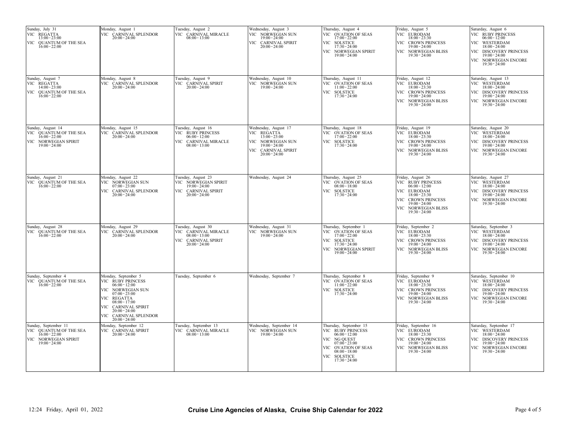| Sunday, July 31<br>VIC REGATTA<br>$13:00 - 23:00$<br>VIC QUANTUM OF THE SEA<br>$16:00 - 22:00$             | Monday, August 1<br>VIC CARNIVAL SPLENDOR<br>$20:00 - 24:00$                                                                                                                                                                | Tuesday, August 2<br>VIC CARNIVAL MIRACLE<br>$08:00 - 13:00$                                            | Wednesday, August 3<br>VIC NORWEGIAN SUN<br>19:00 - 24:00<br>VIC CARNIVAL SPIRIT<br>$20:00 - 24:00$                                      | Thursday, August 4<br>VIC OVATION OF SEAS<br>$17:00 - 22:00$<br>VIC SOLSTICE<br>$17:30 - 24:00$<br>VIC NORWEGIAN SPIRIT<br>$19:00 - 24:00$                                | Friday, August 5<br>VIC EURODAM<br>$18:00 - 23:30$<br>VIC CROWN PRINCESS<br>$19:00 - 24:00$<br>VIC NORWEGIAN BLISS<br>$19:30 - 24:00$                                          | Saturday, August 6<br>VIC RUBY PRINCESS<br>$06:00 - 12:00$<br>VIC WESTERDAM<br>$18:00 - 24:00$<br>VIC DISCOVERY PRINCESS<br>$19:00 - 24:00$<br>VIC NORWEGIAN ENCORE<br>$19:30 - 24:00$ |
|------------------------------------------------------------------------------------------------------------|-----------------------------------------------------------------------------------------------------------------------------------------------------------------------------------------------------------------------------|---------------------------------------------------------------------------------------------------------|------------------------------------------------------------------------------------------------------------------------------------------|---------------------------------------------------------------------------------------------------------------------------------------------------------------------------|--------------------------------------------------------------------------------------------------------------------------------------------------------------------------------|----------------------------------------------------------------------------------------------------------------------------------------------------------------------------------------|
| Sunday, August 7<br>VIC REGATTA<br>$14:00 - 23:00$<br>VIC QUANTUM OF THE SEA<br>$16:00 - 22:00$            | Monday, August 8<br>VIC CARNIVAL SPLENDOR<br>$20:00 - 24:00$                                                                                                                                                                | Tuesday, August 9<br>VIC CARNIVAL SPIRIT<br>$20:00 - 24:00$                                             | Wednesday, August 10<br>VIC NORWEGIAN SUN<br>$19:00 - 24:00$                                                                             | Thursday, August 11<br>VIC OVATION OF SEAS<br>$11:00 - 22:00$<br>VIC SOLSTICE 17:30 - 24:00                                                                               | Friday, August 12<br>VIC EURODAM<br>$18:00 - 23:30$<br>VIC CROWN PRINCESS<br>$19:00 - 24:00$<br>VIC NORWEGIAN BLISS<br>$19:30 - 24:00$                                         | Saturday, August 13<br>VIC WESTERDAM<br>$18:00 - 24:00$<br>VIC DISCOVERY PRINCESS<br>$19:00 - 24:00$<br>VIC NORWEGIAN ENCORE<br>$19:30 - 24:00$                                        |
| Sunday, August 14<br>VIC QUANTUM OF THE SEA<br>$16:00 - 22:00$<br>VIC NORWEGIAN SPIRIT<br>$19:00 - 24:00$  | Monday, August 15<br>VIC CARNIVAL SPLENDOR<br>$20:00 - 24:00$                                                                                                                                                               | Tuesday, August 16<br>VIC RUBY PRINCESS<br>$06:00 - 12:00$<br>VIC CARNIVAL MIRACLE<br>$08:00 - 13:00$   | Wednesday, August 17<br>VIC REGATTA<br>$13:00 - 23:00$<br>VIC NORWEGIAN SUN<br>$19:00 - 24:00$<br>VIC CARNIVAL SPIRIT<br>$20:00 - 24:00$ | Thursday, August 18<br>VIC OVATION OF SEAS<br>$17:00 - 22:00$<br>VIC SOLSTICE<br>$17:30 - 24:00$                                                                          | Friday, August 19<br>VIC EURODAM<br>$18:00 - 23:30$<br>VIC CROWN PRINCESS<br>$19:00 - 24:00$<br>VIC NORWEGIAN BLISS<br>$19:30 - 24:00$                                         | Saturday, August 20<br>VIC WESTERDAM<br>$18:00 - 24:00$<br>VIC DISCOVERY PRINCESS<br>$19:00 - 24:00$<br>VIC NORWEGIAN ENCORE<br>$19:30 - 24:00$                                        |
| Sunday, August 21<br>VIC QUANTUM OF THE SEA $16:00 - 22:00$                                                | Monday, August 22<br>VIC NORWEGIAN SUN<br>$07:00 - 23:00$<br>VIC CARNIVAL SPLENDOR<br>$20:00 - 24:00$                                                                                                                       | Tuesday, August 23<br>VIC NORWEGIAN SPIRIT<br>$19:00 - 24:00$<br>VIC CARNIVAL SPIRIT<br>$20:00 - 24:00$ | Wednesday, August 24                                                                                                                     | Thursday, August 25<br>VIC OVATION OF SEAS<br>$08:00 - 18:00$<br>VIC SOLSTICE<br>$17:30 - 24:00$                                                                          | Friday, August 26<br>VIC RUBY PRINCESS<br>$06:00 - 12:00$<br>VIC EURODAM<br>$18:00 - 23:30$<br>VIC CROWN PRINCESS<br>$19:00 - 24:00$<br>VIC NORWEGIAN BLISS<br>$19:30 - 24:00$ | Saturday, August 27<br>VIC WESTERDAM<br>$18:00 - 24:00$<br>VIC DISCOVERY PRINCESS<br>$19:00 - 24:00$<br>VIC NORWEGIAN ENCORE<br>$19:30 - 24:00$                                        |
| Sunday, August 28<br>VIC QUANTUM OF THE SEA<br>$16:00 - 22:00$                                             | Monday, August 29<br>VIC CARNIVAL SPLENDOR<br>$20:00 - 24:00$                                                                                                                                                               | Tuesday, August 30<br>VIC CARNIVAL MIRACLE<br>$08:00 - 13:00$<br>VIC CARNIVAL SPIRIT<br>$20:00 - 24:00$ | Wednesday, August 31<br>VIC NORWEGIAN SUN<br>$19:00 - 24:00$                                                                             | Thursday, September 1<br>VIC OVATION OF SEAS<br>$17:00 - 22:00$<br>VIC SOLSTICE<br>$17:30 - 24:00$<br>VIC NORWEGIAN SPIRIT<br>$19:00 - 24:00$                             | Friday, September 2<br>VIC EURODAM<br>$18:00 - 23:30$<br>VIC CROWN PRINCESS<br>$19:00 - 24:00$<br>VIC NORWEGIAN BLISS<br>$19:30 - 24:00$                                       | Saturday, September 3<br>VIC WESTERDAM<br>$18:00 - 24:00$<br>VIC DISCOVERY PRINCESS<br>$19:00 - 24:00$<br>VIC NORWEGIAN ENCORE<br>$19:30 - 24:00$                                      |
| Sunday, September 4<br>VIC QUANTUM OF THE SEA $16:00 - 22:00$                                              | Monday, September 5<br>VIC RUBY PRINCESS<br>$06:00 - 12:00$<br>VIC NORWEGIAN SUN<br>$07:00 - 23:00$<br>VIC REGATTA<br>$08:00 - 17:00$<br>VIC CARNIVAL SPIRIT<br>$20:00 - 24:00$<br>VIC CARNIVAL SPLENDOR<br>$20:00 - 24:00$ | Tuesday, September 6                                                                                    | Wednesday, September 7                                                                                                                   | Thursday, September 8<br>VIC OVATION OF SEAS $11:00 - 22:00$<br>VIC SOLSTICE 17:30 - 24:00                                                                                | Friday, September 9<br>VIC EURODAM<br>$18:00 - 23:30$<br>VIC CROWN PRINCESS<br>$19:00 - 24:00$<br>VIC NORWEGIAN BLISS<br>$19:30 - 24:00$                                       | Saturday, September 10<br>VIC WESTERDAM $18:00$ - $24:00$<br>VIC DISCOVERY PRINCESS<br>$19:00 - 24:00$<br>VIC NORWEGIAN ENCORE<br>$19:30 - 24:00$                                      |
| Sunday, September 11<br>VIC QUANTUM OF THE SEA<br>$16:00 - 22:00$<br>VIC NORWEGIAN SPIRIT<br>19:00 - 24:00 | Monday, September 12<br>VIC CARNIVAL SPIRIT<br>$20:00 - 24:00$                                                                                                                                                              | Tuesday, September 13<br>VIC CARNIVAL MIRACLE<br>$08:00 - 13:00$                                        | Wednesday, September 14<br>VIC NORWEGIAN SUN<br>$19:00 - 24:00$                                                                          | Thursday, September 15<br>VIC RUBY PRINCESS<br>$06:00 - 12:00$<br>VIC NG QUEST<br>$07:00 - 23:00$<br>VIC OVATION OF SEAS<br>$08:00 - 18:00$<br>VIC SOLSTICE 17:30 - 24:00 | Friday, September 16<br>VIC EURODAM<br>$18:00 - 23:30$<br>VIC CROWN PRINCESS<br>19:00 - 24:00<br>VIC NORWEGIAN BLISS<br>$19:30 - 24:00$                                        | Saturday, September 17<br>VIC WESTERDAM<br>$18:00 - 24:00$<br>VIC DISCOVERY PRINCESS<br>19:00 - 24:00<br>VIC NORWEGIAN ENCORE<br>$19:30 - 24:00$                                       |
|                                                                                                            |                                                                                                                                                                                                                             |                                                                                                         |                                                                                                                                          |                                                                                                                                                                           |                                                                                                                                                                                |                                                                                                                                                                                        |
| 12:24 Friday, April 01, 2022                                                                               |                                                                                                                                                                                                                             |                                                                                                         | Cruise Line Agencies of Alaska, Cruise Ship Calendar for 2022                                                                            |                                                                                                                                                                           | Page 4 of 5                                                                                                                                                                    |                                                                                                                                                                                        |